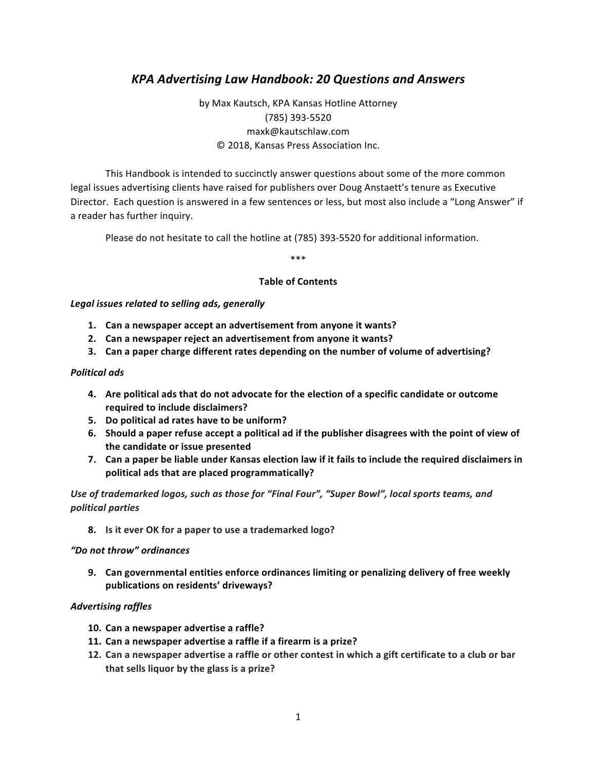# *KPA Advertising Law Handbook: 20 Questions and Answers*

by Max Kautsch, KPA Kansas Hotline Attorney (785) 393-5520 maxk@kautschlaw.com © 2018, Kansas Press Association Inc.

This Handbook is intended to succinctly answer questions about some of the more common legal issues advertising clients have raised for publishers over Doug Anstaett's tenure as Executive Director. Each question is answered in a few sentences or less, but most also include a "Long Answer" if a reader has further inquiry.

Please do not hesitate to call the hotline at (785) 393-5520 for additional information.

\*\*\*

### **Table of Contents**

Legal issues related to selling ads, generally

- **1. Can a newspaper accept an advertisement from anyone it wants?**
- **2.** Can a newspaper reject an advertisement from anyone it wants?
- **3.** Can a paper charge different rates depending on the number of volume of advertising?

#### *Political ads*

- **4.** Are political ads that do not advocate for the election of a specific candidate or outcome **required to include disclaimers?**
- **5.** Do political ad rates have to be uniform?
- 6. Should a paper refuse accept a political ad if the publisher disagrees with the point of view of **the candidate or issue presented**
- **7.** Can a paper be liable under Kansas election law if it fails to include the required disclaimers in political ads that are placed programmatically?

Use of trademarked logos, such as those for "Final Four", "Super Bowl", local sports teams, and *political parties*

**8.** Is it ever OK for a paper to use a trademarked logo?

#### *"Do not throw" ordinances*

**9.** Can governmental entities enforce ordinances limiting or penalizing delivery of free weekly **publications on residents' driveways?**

#### *Advertising raffles*

- 10. Can a newspaper advertise a raffle?
- **11. Can a newspaper advertise a raffle if a firearm is a prize?**
- 12. Can a newspaper advertise a raffle or other contest in which a gift certificate to a club or bar that sells liquor by the glass is a prize?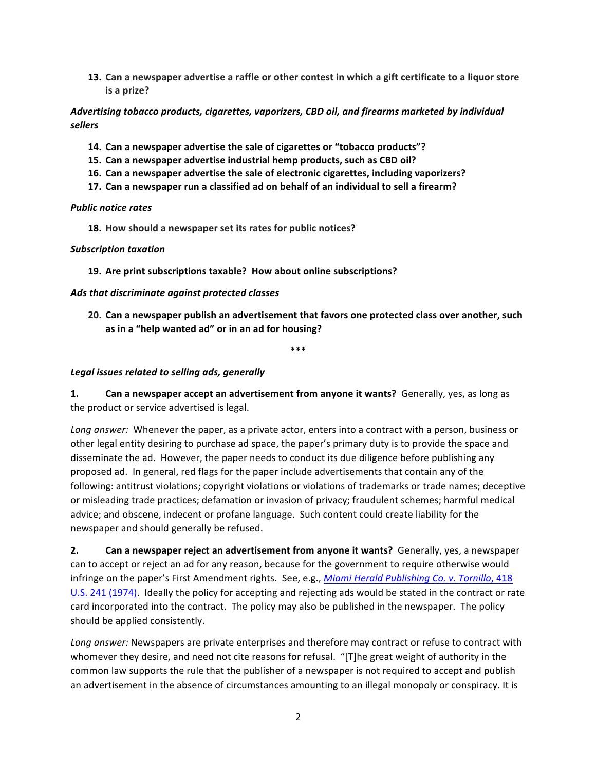**13.** Can a newspaper advertise a raffle or other contest in which a gift certificate to a liquor store **is a prize?** 

Advertising tobacco products, cigarettes, vaporizers, CBD oil, and firearms marketed by individual *sellers*

- **14. Can a newspaper advertise the sale of cigarettes or "tobacco products"?**
- 15. Can a newspaper advertise industrial hemp products, such as CBD oil?
- **16.** Can a newspaper advertise the sale of electronic cigarettes, including vaporizers?
- **17.** Can a newspaper run a classified ad on behalf of an individual to sell a firearm?

#### *Public notice rates*

**18.** How should a newspaper set its rates for public notices?

#### *Subscription taxation*

**19.** Are print subscriptions taxable? How about online subscriptions?

#### *Ads that discriminate against protected classes*

20. Can a newspaper publish an advertisement that favors one protected class over another, such as in a "help wanted ad" or in an ad for housing?

\*\*\*

### Legal *issues related to selling ads, generally*

**1. Can a newspaper accept an advertisement from anyone it wants?** Generally, yes, as long as the product or service advertised is legal.

Long answer: Whenever the paper, as a private actor, enters into a contract with a person, business or other legal entity desiring to purchase ad space, the paper's primary duty is to provide the space and disseminate the ad. However, the paper needs to conduct its due diligence before publishing any proposed ad. In general, red flags for the paper include advertisements that contain any of the following: antitrust violations; copyright violations or violations of trademarks or trade names; deceptive or misleading trade practices; defamation or invasion of privacy; fraudulent schemes; harmful medical advice; and obscene, indecent or profane language. Such content could create liability for the newspaper and should generally be refused.

**2. Can a newspaper reject an advertisement from anyone it wants?** Generally, yes, a newspaper can to accept or reject an ad for any reason, because for the government to require otherwise would infringe on the paper's First Amendment rights. See, e.g., *Miami Herald Publishing Co. v. Tornillo*, 418 U.S. 241 (1974). Ideally the policy for accepting and rejecting ads would be stated in the contract or rate card incorporated into the contract. The policy may also be published in the newspaper. The policy should be applied consistently.

Long answer: Newspapers are private enterprises and therefore may contract or refuse to contract with whomever they desire, and need not cite reasons for refusal. "[T]he great weight of authority in the common law supports the rule that the publisher of a newspaper is not required to accept and publish an advertisement in the absence of circumstances amounting to an illegal monopoly or conspiracy. It is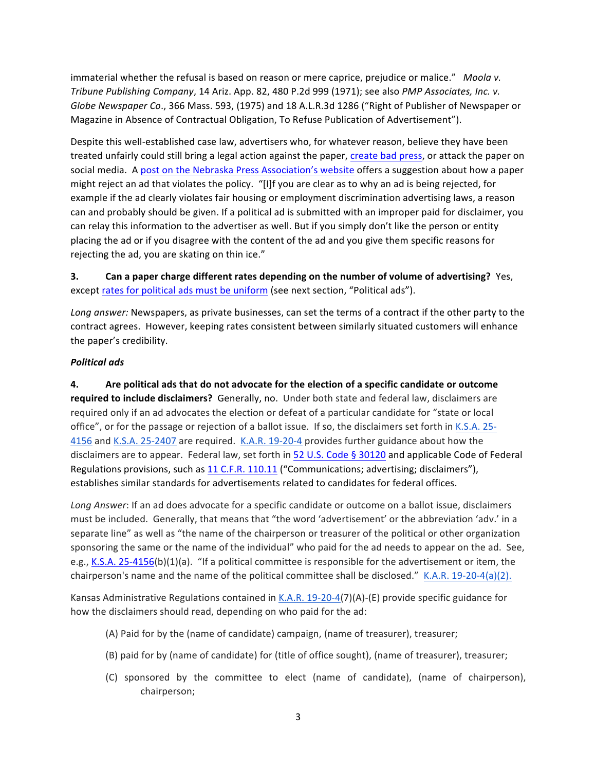immaterial whether the refusal is based on reason or mere caprice, prejudice or malice." Moola v. *Tribune Publishing Company*, 14 Ariz. App. 82, 480 P.2d 999 (1971); see also *PMP Associates, Inc. v. Globe Newspaper Co.,* 366 Mass. 593, (1975) and 18 A.L.R.3d 1286 ("Right of Publisher of Newspaper or Magazine in Absence of Contractual Obligation, To Refuse Publication of Advertisement").

Despite this well-established case law, advertisers who, for whatever reason, believe they have been treated unfairly could still bring a legal action against the paper, create bad press, or attack the paper on social media. A post on the Nebraska Press Association's website offers a suggestion about how a paper might reject an ad that violates the policy. "[I]f you are clear as to why an ad is being rejected, for example if the ad clearly violates fair housing or employment discrimination advertising laws, a reason can and probably should be given. If a political ad is submitted with an improper paid for disclaimer, you can relay this information to the advertiser as well. But if you simply don't like the person or entity placing the ad or if you disagree with the content of the ad and you give them specific reasons for rejecting the ad, you are skating on thin ice."

**3. Can a paper charge different rates depending on the number of volume of advertising?** Yes, except rates for political ads must be uniform (see next section, "Political ads").

Long answer: Newspapers, as private businesses, can set the terms of a contract if the other party to the contract agrees. However, keeping rates consistent between similarly situated customers will enhance the paper's credibility.

### *Political ads*

**4.** Are political ads that do not advocate for the election of a specific candidate or outcome required to include disclaimers? Generally, no. Under both state and federal law, disclaimers are required only if an ad advocates the election or defeat of a particular candidate for "state or local office", or for the passage or rejection of a ballot issue. If so, the disclaimers set forth in K.S.A. 25-4156 and K.S.A. 25-2407 are required. K.A.R. 19-20-4 provides further guidance about how the disclaimers are to appear. Federal law, set forth in 52 U.S. Code § 30120 and applicable Code of Federal Regulations provisions, such as 11 C.F.R. 110.11 ("Communications; advertising; disclaimers"), establishes similar standards for advertisements related to candidates for federal offices.

Long Answer: If an ad does advocate for a specific candidate or outcome on a ballot issue, disclaimers must be included. Generally, that means that "the word 'advertisement' or the abbreviation 'adv.' in a separate line" as well as "the name of the chairperson or treasurer of the political or other organization sponsoring the same or the name of the individual" who paid for the ad needs to appear on the ad. See, e.g., K.S.A. 25-4156(b)(1)(a). "If a political committee is responsible for the advertisement or item, the chairperson's name and the name of the political committee shall be disclosed."  $K.A.R. 19-20-4(a)(2)$ .

Kansas Administrative Regulations contained in K.A.R. 19-20-4(7)(A)-(E) provide specific guidance for how the disclaimers should read, depending on who paid for the ad:

- (A) Paid for by the (name of candidate) campaign, (name of treasurer), treasurer;
- (B) paid for by (name of candidate) for (title of office sought), (name of treasurer), treasurer;
- (C) sponsored by the committee to elect (name of candidate), (name of chairperson), chairperson;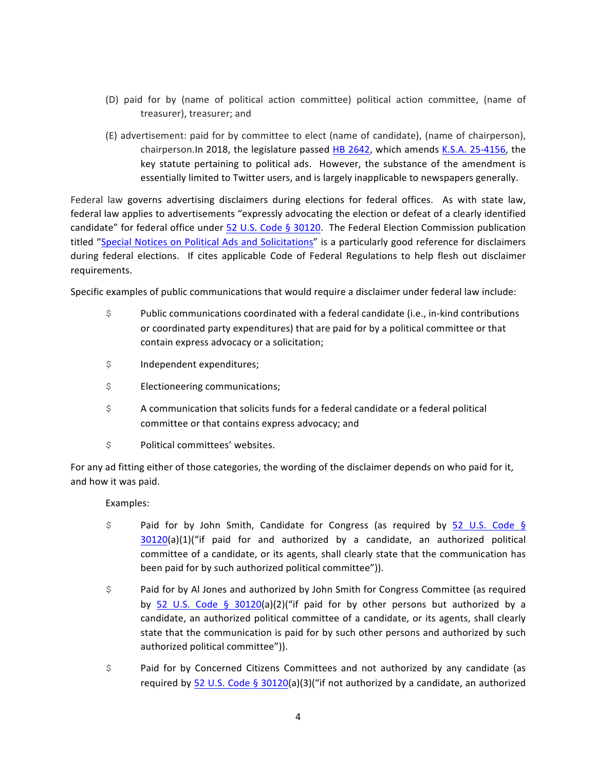- (D) paid for by (name of political action committee) political action committee, (name of treasurer), treasurer; and
- (E) advertisement: paid for by committee to elect (name of candidate), (name of chairperson), chairperson.In 2018, the legislature passed HB 2642, which amends K.S.A. 25-4156, the key statute pertaining to political ads. However, the substance of the amendment is essentially limited to Twitter users, and is largely inapplicable to newspapers generally.

Federal law governs advertising disclaimers during elections for federal offices. As with state law, federal law applies to advertisements "expressly advocating the election or defeat of a clearly identified candidate" for federal office under 52 U.S. Code § 30120. The Federal Election Commission publication titled "Special Notices on Political Ads and Solicitations" is a particularly good reference for disclaimers during federal elections. If cites applicable Code of Federal Regulations to help flesh out disclaimer requirements.

Specific examples of public communications that would require a disclaimer under federal law include:

- $\upbeta$  Public communications coordinated with a federal candidate (i.e., in-kind contributions or coordinated party expenditures) that are paid for by a political committee or that contain express advocacy or a solicitation;
- \$ Independent expenditures;
- $$$  Electioneering communications;
- $\hat{S}$  A communication that solicits funds for a federal candidate or a federal political committee or that contains express advocacy; and
- \$ Political committees' websites.

For any ad fitting either of those categories, the wording of the disclaimer depends on who paid for it, and how it was paid.

### Examples:

- \$ Paid for by John Smith, Candidate for Congress (as required by 52 U.S. Code §  $30120(a)(1)$ ("if paid for and authorized by a candidate, an authorized political committee of a candidate, or its agents, shall clearly state that the communication has been paid for by such authorized political committee")).
- \$ Paid for by Al Jones and authorized by John Smith for Congress Committee (as required by 52 U.S. Code § 30120(a)(2)("if paid for by other persons but authorized by a candidate, an authorized political committee of a candidate, or its agents, shall clearly state that the communication is paid for by such other persons and authorized by such authorized political committee")).
- \$ Paid for by Concerned Citizens Committees and not authorized by any candidate (as required by 52 U.S. Code § 30120(a)(3)("if not authorized by a candidate, an authorized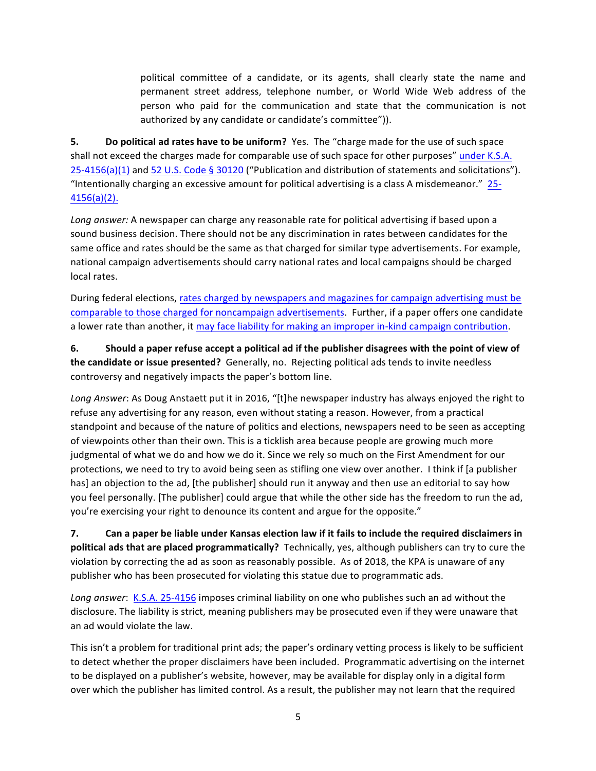political committee of a candidate, or its agents, shall clearly state the name and permanent street address, telephone number, or World Wide Web address of the person who paid for the communication and state that the communication is not authorized by any candidate or candidate's committee")).

**5. Do political ad rates have to be uniform?** Yes. The "charge made for the use of such space shall not exceed the charges made for comparable use of such space for other purposes" under K.S.A.  $25-4156(a)(1)$  and 52 U.S. Code § 30120 ("Publication and distribution of statements and solicitations"). "Intentionally charging an excessive amount for political advertising is a class A misdemeanor."  $25$ -4156(a)(2). 

Long answer: A newspaper can charge any reasonable rate for political advertising if based upon a sound business decision. There should not be any discrimination in rates between candidates for the same office and rates should be the same as that charged for similar type advertisements. For example, national campaign advertisements should carry national rates and local campaigns should be charged local rates.

During federal elections, rates charged by newspapers and magazines for campaign advertising must be comparable to those charged for noncampaign advertisements. Further, if a paper offers one candidate a lower rate than another, it may face liability for making an improper in-kind campaign contribution.

**6.** Should a paper refuse accept a political ad if the publisher disagrees with the point of view of **the candidate or issue presented?** Generally, no. Rejecting political ads tends to invite needless controversy and negatively impacts the paper's bottom line.

Long Answer: As Doug Anstaett put it in 2016, "[t]he newspaper industry has always enjoyed the right to refuse any advertising for any reason, even without stating a reason. However, from a practical standpoint and because of the nature of politics and elections, newspapers need to be seen as accepting of viewpoints other than their own. This is a ticklish area because people are growing much more judgmental of what we do and how we do it. Since we rely so much on the First Amendment for our protections, we need to try to avoid being seen as stifling one view over another. I think if [a publisher has] an objection to the ad, [the publisher] should run it anyway and then use an editorial to say how you feel personally. [The publisher] could argue that while the other side has the freedom to run the ad, you're exercising your right to denounce its content and argue for the opposite."

**7.** Can a paper be liable under Kansas election law if it fails to include the required disclaimers in **political ads that are placed programmatically?** Technically, yes, although publishers can try to cure the violation by correcting the ad as soon as reasonably possible. As of 2018, the KPA is unaware of any publisher who has been prosecuted for violating this statue due to programmatic ads.

Long answer: K.S.A. 25-4156 imposes criminal liability on one who publishes such an ad without the disclosure. The liability is strict, meaning publishers may be prosecuted even if they were unaware that an ad would violate the law.

This isn't a problem for traditional print ads; the paper's ordinary vetting process is likely to be sufficient to detect whether the proper disclaimers have been included. Programmatic advertising on the internet to be displayed on a publisher's website, however, may be available for display only in a digital form over which the publisher has limited control. As a result, the publisher may not learn that the required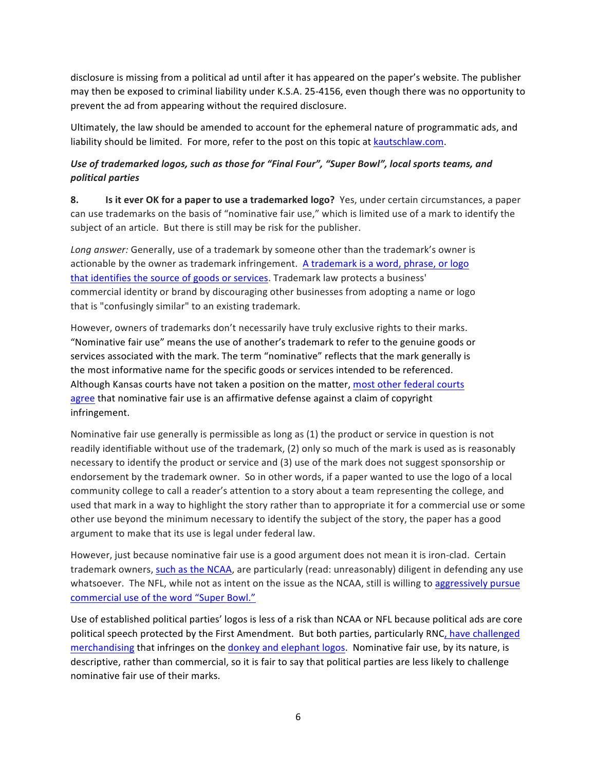disclosure is missing from a political ad until after it has appeared on the paper's website. The publisher may then be exposed to criminal liability under K.S.A. 25-4156, even though there was no opportunity to prevent the ad from appearing without the required disclosure.

Ultimately, the law should be amended to account for the ephemeral nature of programmatic ads, and liability should be limited. For more, refer to the post on this topic at kautschlaw.com.

## Use of trademarked logos, such as those for "Final Four", "Super Bowl", local sports teams, and *political parties*

**8. Is it ever OK for a paper to use a trademarked logo?** Yes, under certain circumstances, a paper can use trademarks on the basis of "nominative fair use," which is limited use of a mark to identify the subject of an article. But there is still may be risk for the publisher.

Long answer: Generally, use of a trademark by someone other than the trademark's owner is actionable by the owner as trademark infringement. A trademark is a word, phrase, or logo that identifies the source of goods or services. Trademark law protects a business' commercial identity or brand by discouraging other businesses from adopting a name or logo that is "confusingly similar" to an existing trademark.

However, owners of trademarks don't necessarily have truly exclusive rights to their marks. "Nominative fair use" means the use of another's trademark to refer to the genuine goods or services associated with the mark. The term "nominative" reflects that the mark generally is the most informative name for the specific goods or services intended to be referenced. Although Kansas courts have not taken a position on the matter, most other federal courts agree that nominative fair use is an affirmative defense against a claim of copyright infringement.

Nominative fair use generally is permissible as long as (1) the product or service in question is not readily identifiable without use of the trademark, (2) only so much of the mark is used as is reasonably necessary to identify the product or service and (3) use of the mark does not suggest sponsorship or endorsement by the trademark owner. So in other words, if a paper wanted to use the logo of a local community college to call a reader's attention to a story about a team representing the college, and used that mark in a way to highlight the story rather than to appropriate it for a commercial use or some other use beyond the minimum necessary to identify the subject of the story, the paper has a good argument to make that its use is legal under federal law.

However, just because nominative fair use is a good argument does not mean it is iron-clad. Certain trademark owners, such as the NCAA, are particularly (read: unreasonably) diligent in defending any use whatsoever. The NFL, while not as intent on the issue as the NCAA, still is willing to aggressively pursue commercial use of the word "Super Bowl."

Use of established political parties' logos is less of a risk than NCAA or NFL because political ads are core political speech protected by the First Amendment. But both parties, particularly RNC, have challenged merchandising that infringes on the donkey and elephant logos. Nominative fair use, by its nature, is descriptive, rather than commercial, so it is fair to say that political parties are less likely to challenge nominative fair use of their marks.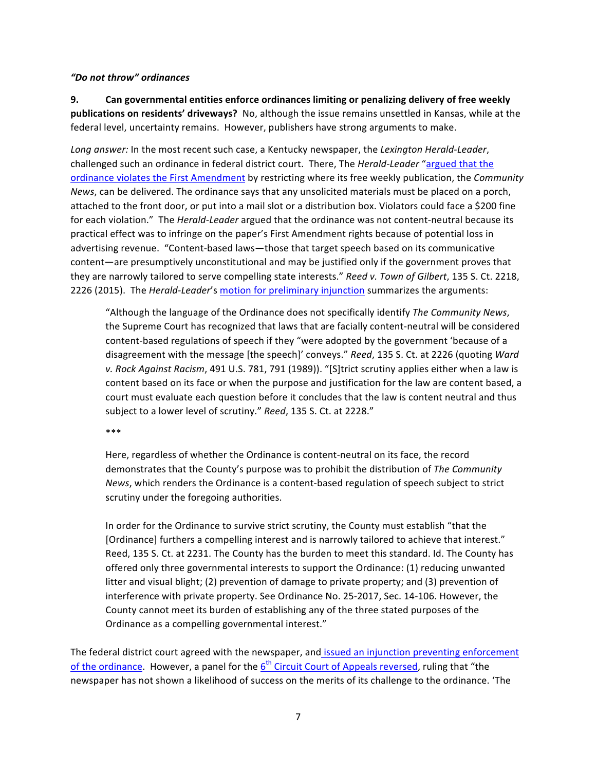### *"Do not throw" ordinances*

**9.** Can governmental entities enforce ordinances limiting or penalizing delivery of free weekly **publications on residents' driveways?** No, although the issue remains unsettled in Kansas, while at the federal level, uncertainty remains. However, publishers have strong arguments to make.

Long answer: In the most recent such case, a Kentucky newspaper, the Lexington Herald-Leader, challenged such an ordinance in federal district court. There, The *Herald-Leader* "argued that the ordinance violates the First Amendment by restricting where its free weekly publication, the *Community News*, can be delivered. The ordinance says that any unsolicited materials must be placed on a porch, attached to the front door, or put into a mail slot or a distribution box. Violators could face a \$200 fine for each violation." The *Herald-Leader* argued that the ordinance was not content-neutral because its practical effect was to infringe on the paper's First Amendment rights because of potential loss in advertising revenue. "Content-based laws—those that target speech based on its communicative content—are presumptively unconstitutional and may be justified only if the government proves that they are narrowly tailored to serve compelling state interests." Reed v. Town of Gilbert, 135 S. Ct. 2218, 2226 (2015). The *Herald-Leader's* motion for preliminary injunction summarizes the arguments:

"Although the language of the Ordinance does not specifically identify *The Community News*, the Supreme Court has recognized that laws that are facially content-neutral will be considered content-based regulations of speech if they "were adopted by the government 'because of a disagreement with the message [the speech]' conveys." Reed, 135 S. Ct. at 2226 (quoting *Ward* v. Rock Against Racism, 491 U.S. 781, 791 (1989)). "[S]trict scrutiny applies either when a law is content based on its face or when the purpose and justification for the law are content based, a court must evaluate each question before it concludes that the law is content neutral and thus subject to a lower level of scrutiny." Reed, 135 S. Ct. at 2228."

\*\*\*

Here, regardless of whether the Ordinance is content-neutral on its face, the record demonstrates that the County's purpose was to prohibit the distribution of The Community News, which renders the Ordinance is a content-based regulation of speech subject to strict scrutiny under the foregoing authorities.

In order for the Ordinance to survive strict scrutiny, the County must establish "that the [Ordinance] furthers a compelling interest and is narrowly tailored to achieve that interest." Reed, 135 S. Ct. at 2231. The County has the burden to meet this standard. Id. The County has offered only three governmental interests to support the Ordinance: (1) reducing unwanted litter and visual blight; (2) prevention of damage to private property; and (3) prevention of interference with private property. See Ordinance No. 25-2017, Sec. 14-106. However, the County cannot meet its burden of establishing any of the three stated purposes of the Ordinance as a compelling governmental interest."

The federal district court agreed with the newspaper, and issued an injunction preventing enforcement of the ordinance. However, a panel for the  $6<sup>th</sup>$  Circuit Court of Appeals reversed, ruling that "the newspaper has not shown a likelihood of success on the merits of its challenge to the ordinance. 'The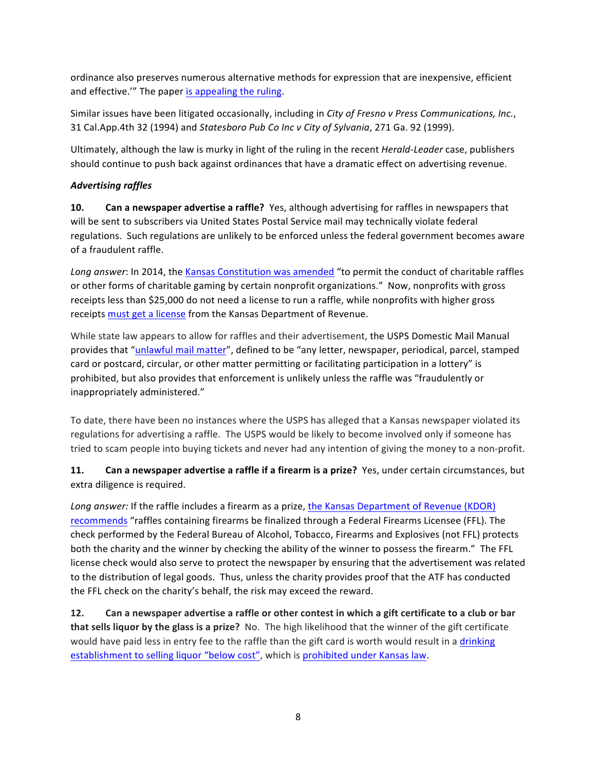ordinance also preserves numerous alternative methods for expression that are inexpensive, efficient and effective."" The paper is appealing the ruling.

Similar issues have been litigated occasionally, including in *City of Fresno v Press Communications, Inc.*, 31 Cal.App.4th 32 (1994) and *Statesboro Pub Co Inc v City of Sylvania*, 271 Ga. 92 (1999).

Ultimately, although the law is murky in light of the ruling in the recent *Herald-Leader* case, publishers should continue to push back against ordinances that have a dramatic effect on advertising revenue.

## *Advertising raffles*

**10.** Can a newspaper advertise a raffle? Yes, although advertising for raffles in newspapers that will be sent to subscribers via United States Postal Service mail may technically violate federal regulations. Such regulations are unlikely to be enforced unless the federal government becomes aware of a fraudulent raffle.

Long answer: In 2014, the Kansas Constitution was amended "to permit the conduct of charitable raffles or other forms of charitable gaming by certain nonprofit organizations." Now, nonprofits with gross receipts less than \$25,000 do not need a license to run a raffle, while nonprofits with higher gross receipts must get a license from the Kansas Department of Revenue.

While state law appears to allow for raffles and their advertisement, the USPS Domestic Mail Manual provides that "unlawful mail matter", defined to be "any letter, newspaper, periodical, parcel, stamped card or postcard, circular, or other matter permitting or facilitating participation in a lottery" is prohibited, but also provides that enforcement is unlikely unless the raffle was "fraudulently or inappropriately administered."

To date, there have been no instances where the USPS has alleged that a Kansas newspaper violated its regulations for advertising a raffle. The USPS would be likely to become involved only if someone has tried to scam people into buying tickets and never had any intention of giving the money to a non-profit.

**11. Can a newspaper advertise a raffle if a firearm is a prize?** Yes, under certain circumstances, but extra diligence is required.

*Long answer:* If the raffle includes a firearm as a prize, the Kansas Department of Revenue (KDOR) recommends "raffles containing firearms be finalized through a Federal Firearms Licensee (FFL). The check performed by the Federal Bureau of Alcohol, Tobacco, Firearms and Explosives (not FFL) protects both the charity and the winner by checking the ability of the winner to possess the firearm." The FFL license check would also serve to protect the newspaper by ensuring that the advertisement was related to the distribution of legal goods. Thus, unless the charity provides proof that the ATF has conducted the FFL check on the charity's behalf, the risk may exceed the reward.

**12.** Can a newspaper advertise a raffle or other contest in which a gift certificate to a club or bar **that sells liquor by the glass is a prize?** No. The high likelihood that the winner of the gift certificate would have paid less in entry fee to the raffle than the gift card is worth would result in a drinking establishment to selling liquor "below cost", which is prohibited under Kansas law.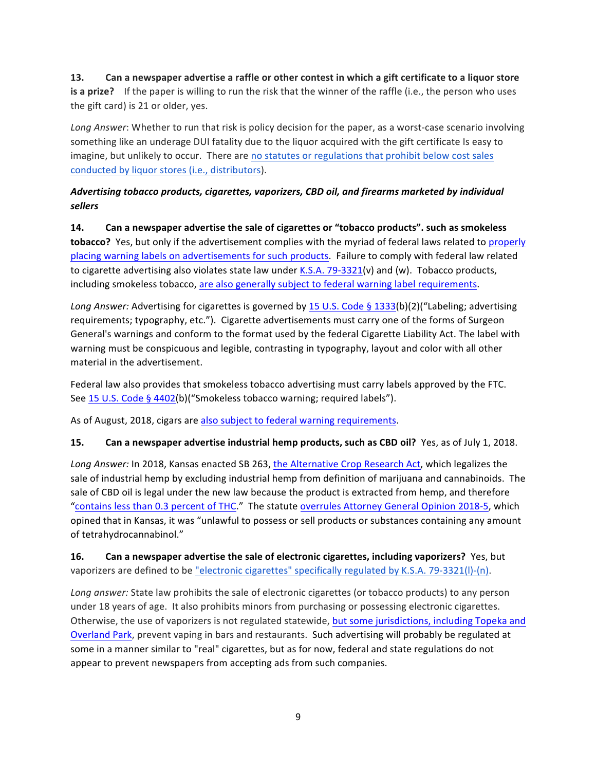## **13.** Can a newspaper advertise a raffle or other contest in which a gift certificate to a liquor store **is a prize?** If the paper is willing to run the risk that the winner of the raffle (i.e., the person who uses the gift card) is 21 or older, yes.

Long Answer: Whether to run that risk is policy decision for the paper, as a worst-case scenario involving something like an underage DUI fatality due to the liquor acquired with the gift certificate Is easy to imagine, but unlikely to occur. There are no statutes or regulations that prohibit below cost sales conducted by liquor stores (i.e., distributors).

## Advertising tobacco products, cigarettes, vaporizers, CBD oil, and firearms marketed by individual *sellers*

**14.** Can a newspaper advertise the sale of cigarettes or "tobacco products". such as smokeless **tobacco?** Yes, but only if the advertisement complies with the myriad of federal laws related to properly placing warning labels on advertisements for such products. Failure to comply with federal law related to cigarette advertising also violates state law under K.S.A. 79-3321(v) and (w). Tobacco products, including smokeless tobacco, are also generally subject to federal warning label requirements.

*Long Answer:* Advertising for cigarettes is governed by 15 U.S. Code § 1333(b)(2)("Labeling; advertising requirements; typography, etc."). Cigarette advertisements must carry one of the forms of Surgeon General's warnings and conform to the format used by the federal Cigarette Liability Act. The label with warning must be conspicuous and legible, contrasting in typography, layout and color with all other material in the advertisement.

Federal law also provides that smokeless tobacco advertising must carry labels approved by the FTC. See 15 U.S. Code § 4402(b)("Smokeless tobacco warning; required labels").

As of August, 2018, cigars are also subject to federal warning requirements.

### **15. Can a newspaper advertise industrial hemp products, such as CBD oil?** Yes, as of July 1, 2018.

Long Answer: In 2018, Kansas enacted SB 263, the Alternative Crop Research Act, which legalizes the sale of industrial hemp by excluding industrial hemp from definition of marijuana and cannabinoids. The sale of CBD oil is legal under the new law because the product is extracted from hemp, and therefore "contains less than 0.3 percent of THC." The statute overrules Attorney General Opinion 2018-5, which opined that in Kansas, it was "unlawful to possess or sell products or substances containing any amount of tetrahydrocannabinol."

**16.** Can a newspaper advertise the sale of electronic cigarettes, including vaporizers? Yes, but vaporizers are defined to be "electronic cigarettes" specifically regulated by K.S.A. 79-3321(I)-(n).

Long answer: State law prohibits the sale of electronic cigarettes (or tobacco products) to any person under 18 years of age. It also prohibits minors from purchasing or possessing electronic cigarettes. Otherwise, the use of vaporizers is not regulated statewide, but some jurisdictions, including Topeka and Overland Park, prevent vaping in bars and restaurants. Such advertising will probably be regulated at some in a manner similar to "real" cigarettes, but as for now, federal and state regulations do not appear to prevent newspapers from accepting ads from such companies.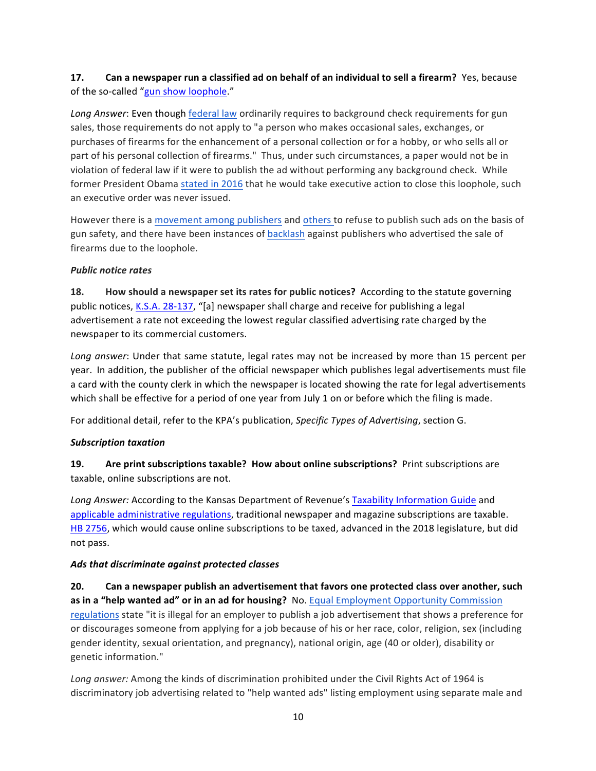## **17.** Can a newspaper run a classified ad on behalf of an individual to sell a firearm? Yes, because of the so-called "gun show loophole."

Long Answer: Even though federal law ordinarily requires to background check requirements for gun sales, those requirements do not apply to "a person who makes occasional sales, exchanges, or purchases of firearms for the enhancement of a personal collection or for a hobby, or who sells all or part of his personal collection of firearms." Thus, under such circumstances, a paper would not be in violation of federal law if it were to publish the ad without performing any background check. While former President Obama stated in 2016 that he would take executive action to close this loophole, such an executive order was never issued.

However there is a movement among publishers and others to refuse to publish such ads on the basis of gun safety, and there have been instances of backlash against publishers who advertised the sale of firearms due to the loophole.

### *Public notice rates*

**18. How should a newspaper set its rates for public notices?** According to the statute governing public notices, K.S.A. 28-137, "[a] newspaper shall charge and receive for publishing a legal advertisement a rate not exceeding the lowest regular classified advertising rate charged by the newspaper to its commercial customers.

Long answer: Under that same statute, legal rates may not be increased by more than 15 percent per year. In addition, the publisher of the official newspaper which publishes legal advertisements must file a card with the county clerk in which the newspaper is located showing the rate for legal advertisements which shall be effective for a period of one year from July 1 on or before which the filing is made.

For additional detail, refer to the KPA's publication, *Specific Types of Advertising*, section G.

### *Subscription taxation*

## **19.** Are print subscriptions taxable? How about online subscriptions? Print subscriptions are taxable, online subscriptions are not.

Long Answer: According to the Kansas Department of Revenue's Taxability Information Guide and applicable administrative regulations, traditional newspaper and magazine subscriptions are taxable. HB 2756, which would cause online subscriptions to be taxed, advanced in the 2018 legislature, but did not pass.

### *Ads that discriminate against protected classes*

20. Can a newspaper publish an advertisement that favors one protected class over another, such **as in a "help wanted ad" or in an ad for housing?** No. Equal Employment Opportunity Commission regulations state "it is illegal for an employer to publish a job advertisement that shows a preference for or discourages someone from applying for a job because of his or her race, color, religion, sex (including gender identity, sexual orientation, and pregnancy), national origin, age (40 or older), disability or genetic information."

Long answer: Among the kinds of discrimination prohibited under the Civil Rights Act of 1964 is discriminatory job advertising related to "help wanted ads" listing employment using separate male and